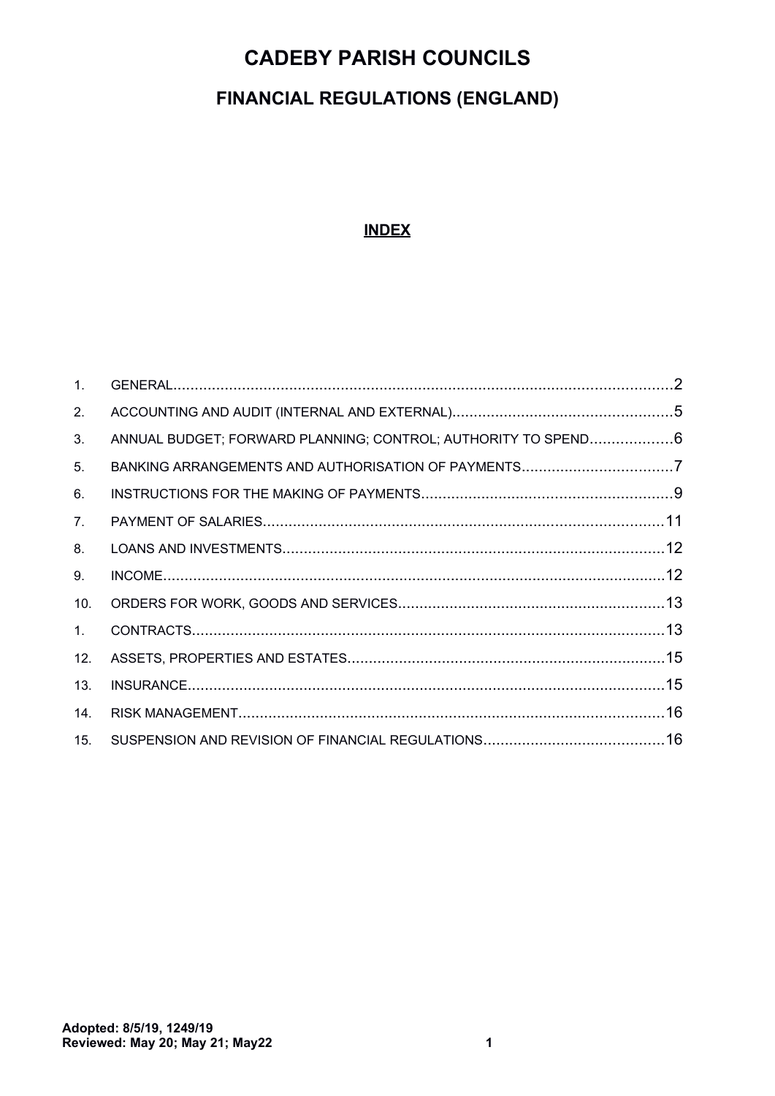## **FINANCIAL REGULATIONS (ENGLAND)**

### **INDEX**

<span id="page-0-0"></span>

| $\mathbf{1}$ . |                                                               |  |
|----------------|---------------------------------------------------------------|--|
| 2.             |                                                               |  |
| 3.             | ANNUAL BUDGET; FORWARD PLANNING; CONTROL; AUTHORITY TO SPEND6 |  |
| 5.             | BANKING ARRANGEMENTS AND AUTHORISATION OF PAYMENTS7           |  |
| 6.             |                                                               |  |
| 7.             |                                                               |  |
| 8.             |                                                               |  |
| 9.             |                                                               |  |
| 10.            |                                                               |  |
| 1.             |                                                               |  |
| 12.            |                                                               |  |
| 13.            |                                                               |  |
| 14.            |                                                               |  |
| 15.            |                                                               |  |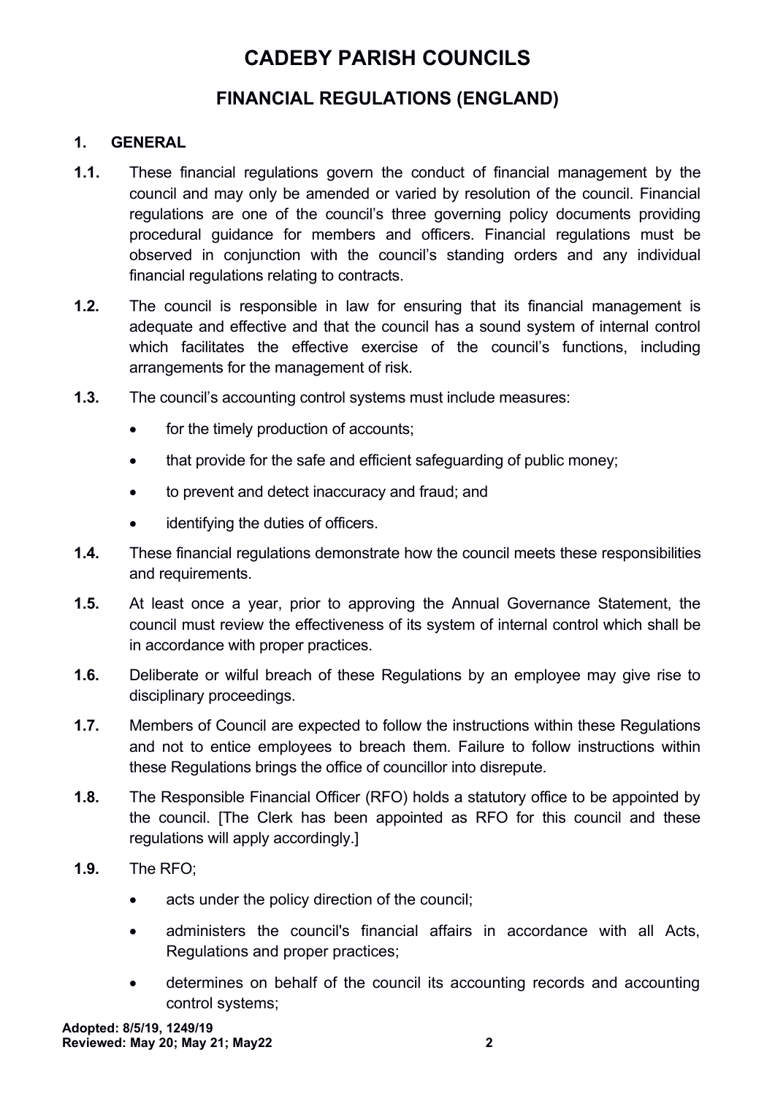### **FINANCIAL REGULATIONS (ENGLAND)**

#### <span id="page-1-0"></span>**1. GENERAL**

- **1.1.** These financial regulations govern the conduct of financial management by the council and may only be amended or varied by resolution of the council. Financial regulations are one of the council's three governing policy documents providing procedural guidance for members and officers. Financial regulations must be observed in conjunction with the council's standing orders and any individual financial regulations relating to contracts.
- **1.2.** The council is responsible in law for ensuring that its financial management is adequate and effective and that the council has a sound system of internal control which facilitates the effective exercise of the council's functions, including arrangements for the management of risk.
- **1.3.** The council's accounting control systems must include measures:
	- for the timely production of accounts;
	- that provide for the safe and efficient safeguarding of public money;
	- to prevent and detect inaccuracy and fraud; and
	- identifying the duties of officers.
- **1.4.** These financial regulations demonstrate how the council meets these responsibilities and requirements.
- **1.5.** At least once a year, prior to approving the Annual Governance Statement, the council must review the effectiveness of its system of internal control which shall be in accordance with proper practices.
- **1.6.** Deliberate or wilful breach of these Regulations by an employee may give rise to disciplinary proceedings.
- **1.7.** Members of Council are expected to follow the instructions within these Regulations and not to entice employees to breach them. Failure to follow instructions within these Regulations brings the office of councillor into disrepute.
- **1.8.** The Responsible Financial Officer (RFO) holds a statutory office to be appointed by the council. [The Clerk has been appointed as RFO for this council and these regulations will apply accordingly.]
- **1.9.** The RFO;
	- acts under the policy direction of the council;
	- administers the council's financial affairs in accordance with all Acts, Regulations and proper practices;
	- determines on behalf of the council its accounting records and accounting control systems;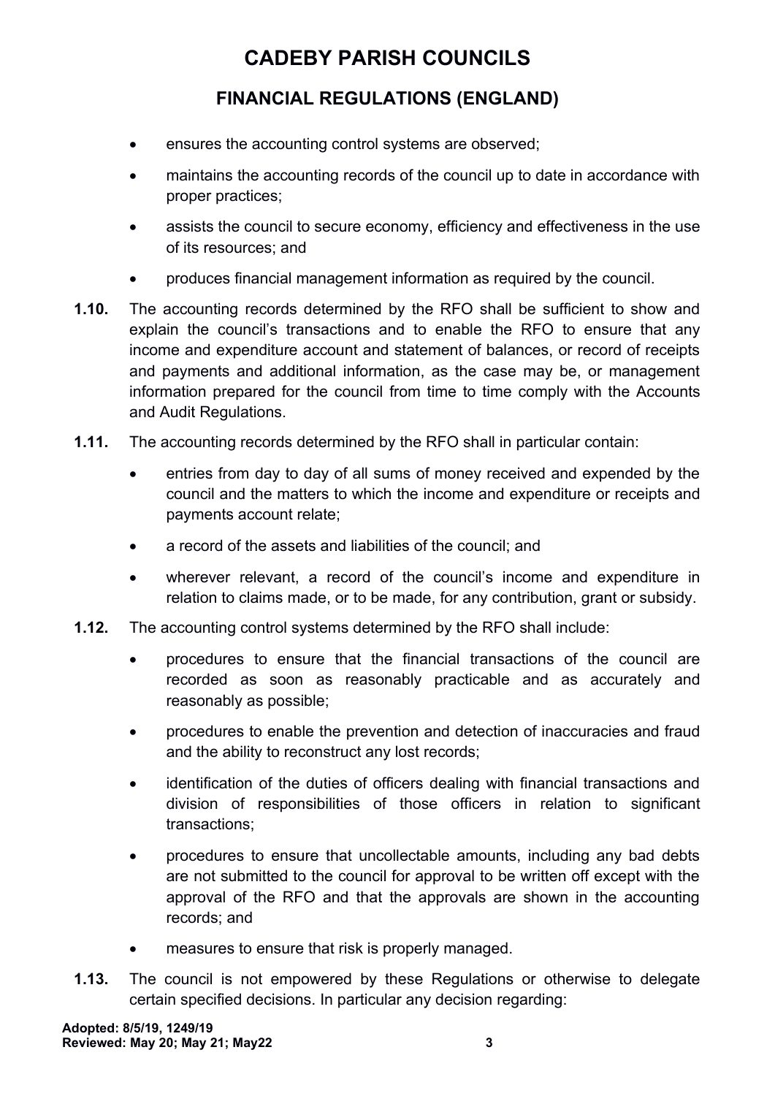- ensures the accounting control systems are observed;
- maintains the accounting records of the council up to date in accordance with proper practices;
- assists the council to secure economy, efficiency and effectiveness in the use of its resources; and
- produces financial management information as required by the council.
- **1.10.** The accounting records determined by the RFO shall be sufficient to show and explain the council's transactions and to enable the RFO to ensure that any income and expenditure account and statement of balances, or record of receipts and payments and additional information, as the case may be, or management information prepared for the council from time to time comply with the Accounts and Audit Regulations.
- **1.11.** The accounting records determined by the RFO shall in particular contain:
	- entries from day to day of all sums of money received and expended by the council and the matters to which the income and expenditure or receipts and payments account relate;
	- a record of the assets and liabilities of the council; and
	- wherever relevant, a record of the council's income and expenditure in relation to claims made, or to be made, for any contribution, grant or subsidy.
- **1.12.** The accounting control systems determined by the RFO shall include:
	- procedures to ensure that the financial transactions of the council are recorded as soon as reasonably practicable and as accurately and reasonably as possible;
	- procedures to enable the prevention and detection of inaccuracies and fraud and the ability to reconstruct any lost records;
	- identification of the duties of officers dealing with financial transactions and division of responsibilities of those officers in relation to significant transactions;
	- procedures to ensure that uncollectable amounts, including any bad debts are not submitted to the council for approval to be written off except with the approval of the RFO and that the approvals are shown in the accounting records; and
	- measures to ensure that risk is properly managed.
- **1.13.** The council is not empowered by these Regulations or otherwise to delegate certain specified decisions. In particular any decision regarding: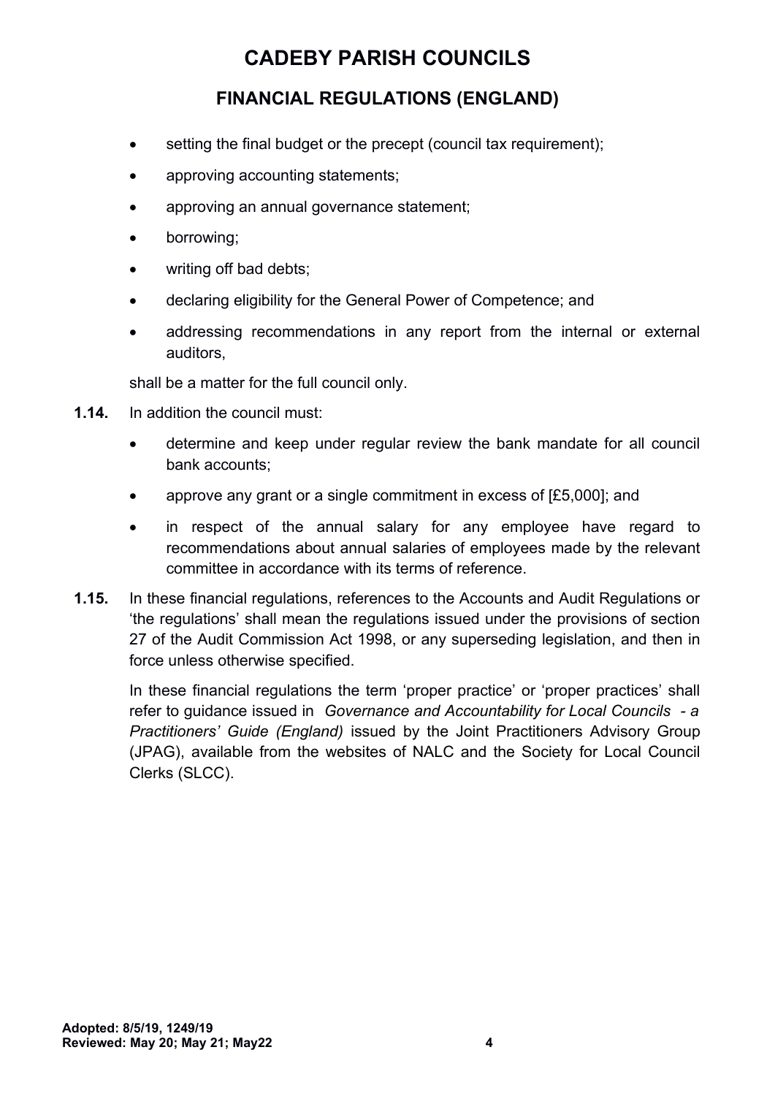### **FINANCIAL REGULATIONS (ENGLAND)**

- setting the final budget or the precept (council tax requirement);
- approving accounting statements;
- approving an annual governance statement;
- borrowing;
- writing off bad debts:
- declaring eligibility for the General Power of Competence; and
- addressing recommendations in any report from the internal or external auditors,

shall be a matter for the full council only.

- **1.14.** In addition the council must:
	- determine and keep under regular review the bank mandate for all council bank accounts;
	- approve any grant or a single commitment in excess of [£5,000]; and
	- in respect of the annual salary for any employee have regard to recommendations about annual salaries of employees made by the relevant committee in accordance with its terms of reference.
- **1.15.** In these financial regulations, references to the Accounts and Audit Regulations or 'the regulations' shall mean the regulations issued under the provisions of section 27 of the Audit Commission Act 1998, or any superseding legislation, and then in force unless otherwise specified.

In these financial regulations the term 'proper practice' or 'proper practices' shall refer to guidance issued in *Governance and Accountability for Local Councils - a Practitioners' Guide (England)* issued by the Joint Practitioners Advisory Group (JPAG), available from the websites of NALC and the Society for Local Council Clerks (SLCC).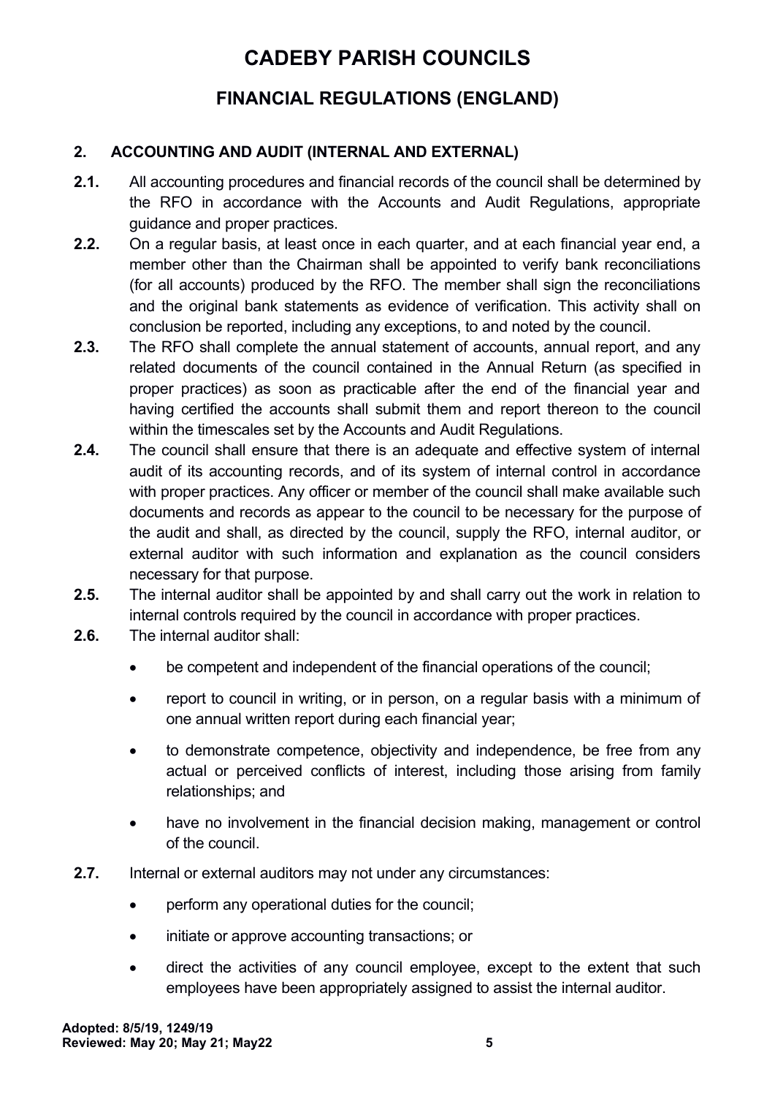### **FINANCIAL REGULATIONS (ENGLAND)**

#### <span id="page-4-0"></span>**2. ACCOUNTING AND AUDIT (INTERNAL AND EXTERNAL)**

- **2.1.** All accounting procedures and financial records of the council shall be determined by the RFO in accordance with the Accounts and Audit Regulations, appropriate guidance and proper practices.
- **2.2.** On a regular basis, at least once in each quarter, and at each financial year end, a member other than the Chairman shall be appointed to verify bank reconciliations (for all accounts) produced by the RFO. The member shall sign the reconciliations and the original bank statements as evidence of verification. This activity shall on conclusion be reported, including any exceptions, to and noted by the council.
- **2.3.** The RFO shall complete the annual statement of accounts, annual report, and any related documents of the council contained in the Annual Return (as specified in proper practices) as soon as practicable after the end of the financial year and having certified the accounts shall submit them and report thereon to the council within the timescales set by the Accounts and Audit Regulations.
- **2.4.** The council shall ensure that there is an adequate and effective system of internal audit of its accounting records, and of its system of internal control in accordance with proper practices. Any officer or member of the council shall make available such documents and records as appear to the council to be necessary for the purpose of the audit and shall, as directed by the council, supply the RFO, internal auditor, or external auditor with such information and explanation as the council considers necessary for that purpose.
- **2.5.** The internal auditor shall be appointed by and shall carry out the work in relation to internal controls required by the council in accordance with proper practices.
- **2.6.** The internal auditor shall:
	- be competent and independent of the financial operations of the council;
	- report to council in writing, or in person, on a regular basis with a minimum of one annual written report during each financial year;
	- to demonstrate competence, objectivity and independence, be free from any actual or perceived conflicts of interest, including those arising from family relationships; and
	- have no involvement in the financial decision making, management or control of the council.
- **2.7.** Internal or external auditors may not under any circumstances:
	- perform any operational duties for the council;
	- initiate or approve accounting transactions; or
	- direct the activities of any council employee, except to the extent that such employees have been appropriately assigned to assist the internal auditor.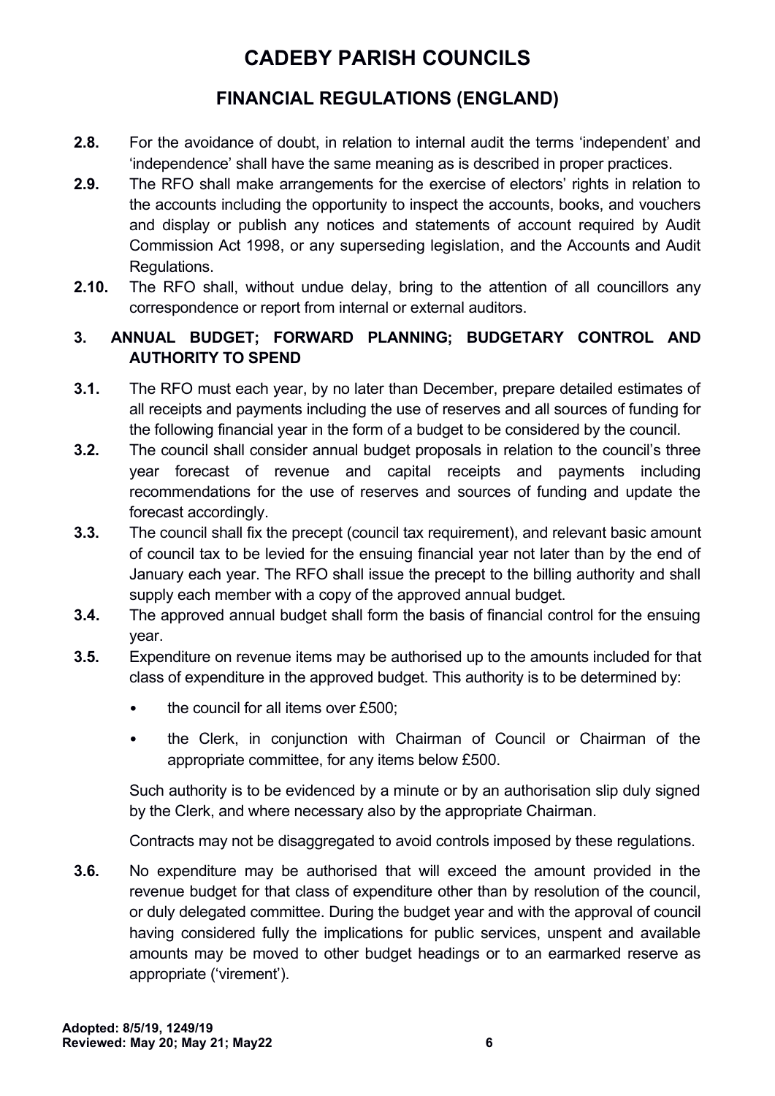## **FINANCIAL REGULATIONS (ENGLAND)**

- **2.8.** For the avoidance of doubt, in relation to internal audit the terms 'independent' and 'independence' shall have the same meaning as is described in proper practices.
- **2.9.** The RFO shall make arrangements for the exercise of electors' rights in relation to the accounts including the opportunity to inspect the accounts, books, and vouchers and display or publish any notices and statements of account required by Audit Commission Act 1998, or any superseding legislation, and the Accounts and Audit Regulations.
- **2.10.** The RFO shall, without undue delay, bring to the attention of all councillors any correspondence or report from internal or external auditors.

#### <span id="page-5-0"></span>**3. ANNUAL BUDGET; FORWARD PLANNING; BUDGETARY CONTROL AND AUTHORITY TO SPEND**

- **3.1.** The RFO must each year, by no later than December, prepare detailed estimates of all receipts and payments including the use of reserves and all sources of funding for the following financial year in the form of a budget to be considered by the council.
- **3.2.** The council shall consider annual budget proposals in relation to the council's three year forecast of revenue and capital receipts and payments including recommendations for the use of reserves and sources of funding and update the forecast accordingly.
- **3.3.** The council shall fix the precept (council tax requirement), and relevant basic amount of council tax to be levied for the ensuing financial year not later than by the end of January each year. The RFO shall issue the precept to the billing authority and shall supply each member with a copy of the approved annual budget.
- **3.4.** The approved annual budget shall form the basis of financial control for the ensuing year.
- **3.5.** Expenditure on revenue items may be authorised up to the amounts included for that class of expenditure in the approved budget. This authority is to be determined by:
	- the council for all items over £500;
	- the Clerk, in conjunction with Chairman of Council or Chairman of the appropriate committee, for any items below £500.

Such authority is to be evidenced by a minute or by an authorisation slip duly signed by the Clerk, and where necessary also by the appropriate Chairman.

Contracts may not be disaggregated to avoid controls imposed by these regulations.

**3.6.** No expenditure may be authorised that will exceed the amount provided in the revenue budget for that class of expenditure other than by resolution of the council, or duly delegated committee. During the budget year and with the approval of council having considered fully the implications for public services, unspent and available amounts may be moved to other budget headings or to an earmarked reserve as appropriate ('virement').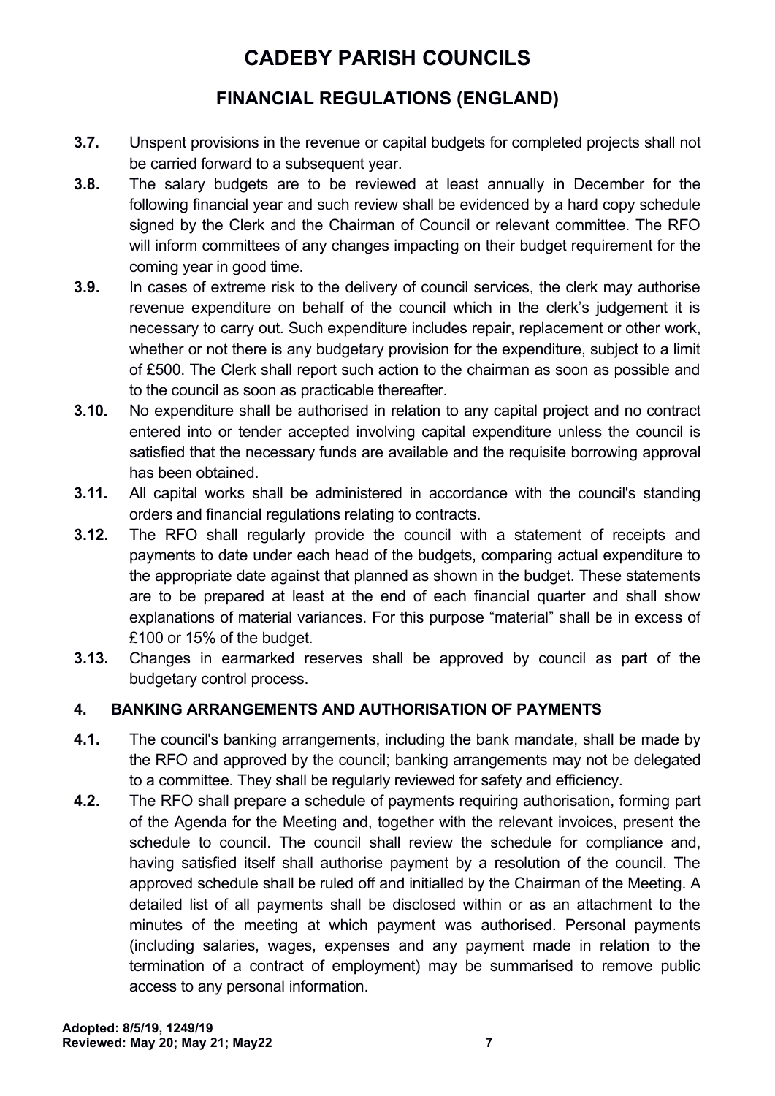## **FINANCIAL REGULATIONS (ENGLAND)**

- **3.7.** Unspent provisions in the revenue or capital budgets for completed projects shall not be carried forward to a subsequent year.
- **3.8.** The salary budgets are to be reviewed at least annually in December for the following financial year and such review shall be evidenced by a hard copy schedule signed by the Clerk and the Chairman of Council or relevant committee. The RFO will inform committees of any changes impacting on their budget requirement for the coming year in good time.
- **3.9.** In cases of extreme risk to the delivery of council services, the clerk may authorise revenue expenditure on behalf of the council which in the clerk's judgement it is necessary to carry out. Such expenditure includes repair, replacement or other work, whether or not there is any budgetary provision for the expenditure, subject to a limit of £500. The Clerk shall report such action to the chairman as soon as possible and to the council as soon as practicable thereafter.
- **3.10.** No expenditure shall be authorised in relation to any capital project and no contract entered into or tender accepted involving capital expenditure unless the council is satisfied that the necessary funds are available and the requisite borrowing approval has been obtained.
- **3.11.** All capital works shall be administered in accordance with the council's standing orders and financial regulations relating to contracts.
- **3.12.** The RFO shall regularly provide the council with a statement of receipts and payments to date under each head of the budgets, comparing actual expenditure to the appropriate date against that planned as shown in the budget. These statements are to be prepared at least at the end of each financial quarter and shall show explanations of material variances. For this purpose "material" shall be in excess of £100 or 15% of the budget.
- **3.13.** Changes in earmarked reserves shall be approved by council as part of the budgetary control process.

### <span id="page-6-0"></span>**4. BANKING ARRANGEMENTS AND AUTHORISATION OF PAYMENTS**

- **4.1.** The council's banking arrangements, including the bank mandate, shall be made by the RFO and approved by the council; banking arrangements may not be delegated to a committee. They shall be regularly reviewed for safety and efficiency.
- **4.2.** The RFO shall prepare a schedule of payments requiring authorisation, forming part of the Agenda for the Meeting and, together with the relevant invoices, present the schedule to council. The council shall review the schedule for compliance and, having satisfied itself shall authorise payment by a resolution of the council. The approved schedule shall be ruled off and initialled by the Chairman of the Meeting. A detailed list of all payments shall be disclosed within or as an attachment to the minutes of the meeting at which payment was authorised. Personal payments (including salaries, wages, expenses and any payment made in relation to the termination of a contract of employment) may be summarised to remove public access to any personal information.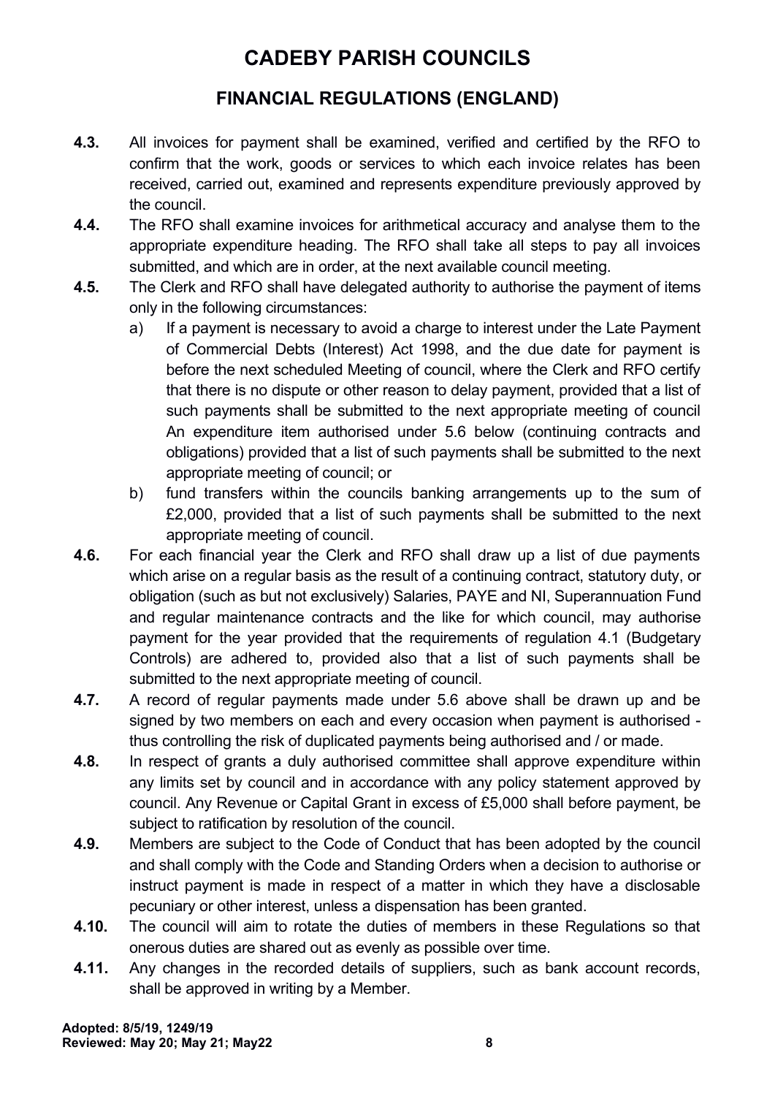- **4.3.** All invoices for payment shall be examined, verified and certified by the RFO to confirm that the work, goods or services to which each invoice relates has been received, carried out, examined and represents expenditure previously approved by the council.
- **4.4.** The RFO shall examine invoices for arithmetical accuracy and analyse them to the appropriate expenditure heading. The RFO shall take all steps to pay all invoices submitted, and which are in order, at the next available council meeting.
- **4.5.** The Clerk and RFO shall have delegated authority to authorise the payment of items only in the following circumstances:
	- a) If a payment is necessary to avoid a charge to interest under the Late Payment of Commercial Debts (Interest) Act 1998, and the due date for payment is before the next scheduled Meeting of council, where the Clerk and RFO certify that there is no dispute or other reason to delay payment, provided that a list of such payments shall be submitted to the next appropriate meeting of council An expenditure item authorised under 5.6 below (continuing contracts and obligations) provided that a list of such payments shall be submitted to the next appropriate meeting of council; or
	- b) fund transfers within the councils banking arrangements up to the sum of £2,000, provided that a list of such payments shall be submitted to the next appropriate meeting of council.
- **4.6.** For each financial year the Clerk and RFO shall draw up a list of due payments which arise on a regular basis as the result of a continuing contract, statutory duty, or obligation (such as but not exclusively) Salaries, PAYE and NI, Superannuation Fund and regular maintenance contracts and the like for which council, may authorise payment for the year provided that the requirements of regulation 4.1 (Budgetary Controls) are adhered to, provided also that a list of such payments shall be submitted to the next appropriate meeting of council.
- **4.7.** A record of regular payments made under 5.6 above shall be drawn up and be signed by two members on each and every occasion when payment is authorised thus controlling the risk of duplicated payments being authorised and / or made.
- **4.8.** In respect of grants a duly authorised committee shall approve expenditure within any limits set by council and in accordance with any policy statement approved by council. Any Revenue or Capital Grant in excess of £5,000 shall before payment, be subject to ratification by resolution of the council.
- **4.9.** Members are subject to the Code of Conduct that has been adopted by the council and shall comply with the Code and Standing Orders when a decision to authorise or instruct payment is made in respect of a matter in which they have a disclosable pecuniary or other interest, unless a dispensation has been granted.
- **4.10.** The council will aim to rotate the duties of members in these Regulations so that onerous duties are shared out as evenly as possible over time.
- **4.11.** Any changes in the recorded details of suppliers, such as bank account records, shall be approved in writing by a Member.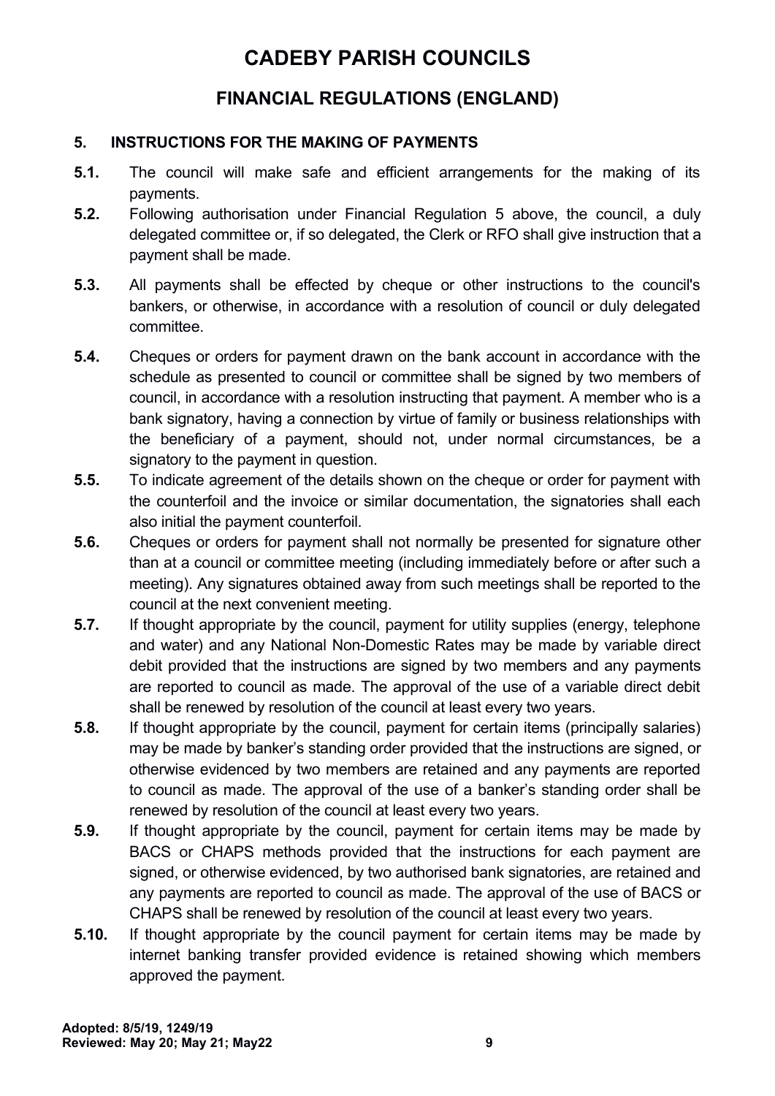### **FINANCIAL REGULATIONS (ENGLAND)**

#### <span id="page-8-0"></span>**5. INSTRUCTIONS FOR THE MAKING OF PAYMENTS**

- **5.1.** The council will make safe and efficient arrangements for the making of its payments.
- **5.2.** Following authorisation under Financial Regulation 5 above, the council, a duly delegated committee or, if so delegated, the Clerk or RFO shall give instruction that a payment shall be made.
- **5.3.** All payments shall be effected by cheque or other instructions to the council's bankers, or otherwise, in accordance with a resolution of council or duly delegated committee.
- **5.4.** Cheques or orders for payment drawn on the bank account in accordance with the schedule as presented to council or committee shall be signed by two members of council, in accordance with a resolution instructing that payment. A member who is a bank signatory, having a connection by virtue of family or business relationships with the beneficiary of a payment, should not, under normal circumstances, be a signatory to the payment in question.
- **5.5.** To indicate agreement of the details shown on the cheque or order for payment with the counterfoil and the invoice or similar documentation, the signatories shall each also initial the payment counterfoil.
- **5.6.** Cheques or orders for payment shall not normally be presented for signature other than at a council or committee meeting (including immediately before or after such a meeting). Any signatures obtained away from such meetings shall be reported to the council at the next convenient meeting.
- **5.7.** If thought appropriate by the council, payment for utility supplies (energy, telephone and water) and any National Non-Domestic Rates may be made by variable direct debit provided that the instructions are signed by two members and any payments are reported to council as made. The approval of the use of a variable direct debit shall be renewed by resolution of the council at least every two years.
- **5.8.** If thought appropriate by the council, payment for certain items (principally salaries) may be made by banker's standing order provided that the instructions are signed, or otherwise evidenced by two members are retained and any payments are reported to council as made. The approval of the use of a banker's standing order shall be renewed by resolution of the council at least every two years.
- **5.9.** If thought appropriate by the council, payment for certain items may be made by BACS or CHAPS methods provided that the instructions for each payment are signed, or otherwise evidenced, by two authorised bank signatories, are retained and any payments are reported to council as made. The approval of the use of BACS or CHAPS shall be renewed by resolution of the council at least every two years.
- **5.10.** If thought appropriate by the council payment for certain items may be made by internet banking transfer provided evidence is retained showing which members approved the payment.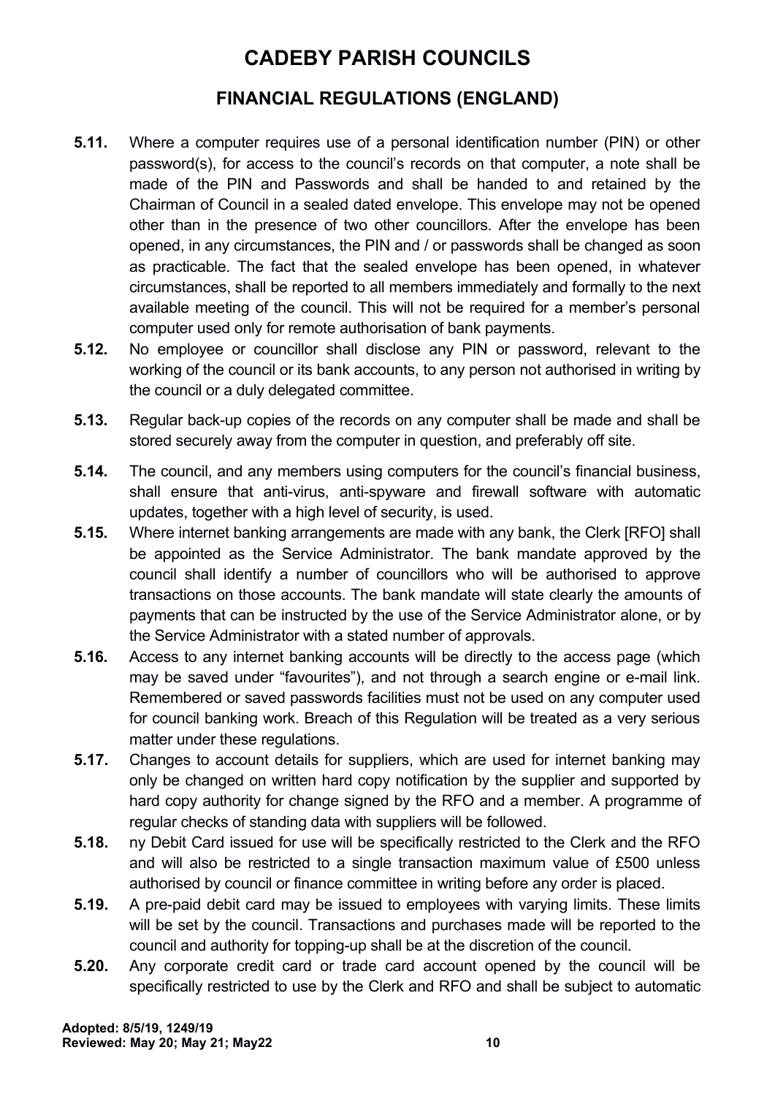- **5.11.** Where a computer requires use of a personal identification number (PIN) or other password(s), for access to the council's records on that computer, a note shall be made of the PIN and Passwords and shall be handed to and retained by the Chairman of Council in a sealed dated envelope. This envelope may not be opened other than in the presence of two other councillors. After the envelope has been opened, in any circumstances, the PIN and / or passwords shall be changed as soon as practicable. The fact that the sealed envelope has been opened, in whatever circumstances, shall be reported to all members immediately and formally to the next available meeting of the council. This will not be required for a member's personal computer used only for remote authorisation of bank payments.
- **5.12.** No employee or councillor shall disclose any PIN or password, relevant to the working of the council or its bank accounts, to any person not authorised in writing by the council or a duly delegated committee.
- **5.13.** Regular back-up copies of the records on any computer shall be made and shall be stored securely away from the computer in question, and preferably off site.
- **5.14.** The council, and any members using computers for the council's financial business, shall ensure that anti-virus, anti-spyware and firewall software with automatic updates, together with a high level of security, is used.
- **5.15.** Where internet banking arrangements are made with any bank, the Clerk [RFO] shall be appointed as the Service Administrator. The bank mandate approved by the council shall identify a number of councillors who will be authorised to approve transactions on those accounts. The bank mandate will state clearly the amounts of payments that can be instructed by the use of the Service Administrator alone, or by the Service Administrator with a stated number of approvals.
- **5.16.** Access to any internet banking accounts will be directly to the access page (which may be saved under "favourites"), and not through a search engine or e-mail link. Remembered or saved passwords facilities must not be used on any computer used for council banking work. Breach of this Regulation will be treated as a very serious matter under these regulations.
- **5.17.** Changes to account details for suppliers, which are used for internet banking may only be changed on written hard copy notification by the supplier and supported by hard copy authority for change signed by the RFO and a member. A programme of regular checks of standing data with suppliers will be followed.
- **5.18.** ny Debit Card issued for use will be specifically restricted to the Clerk and the RFO and will also be restricted to a single transaction maximum value of £500 unless authorised by council or finance committee in writing before any order is placed.
- **5.19.** A pre-paid debit card may be issued to employees with varying limits. These limits will be set by the council. Transactions and purchases made will be reported to the council and authority for topping-up shall be at the discretion of the council.
- **5.20.** Any corporate credit card or trade card account opened by the council will be specifically restricted to use by the Clerk and RFO and shall be subject to automatic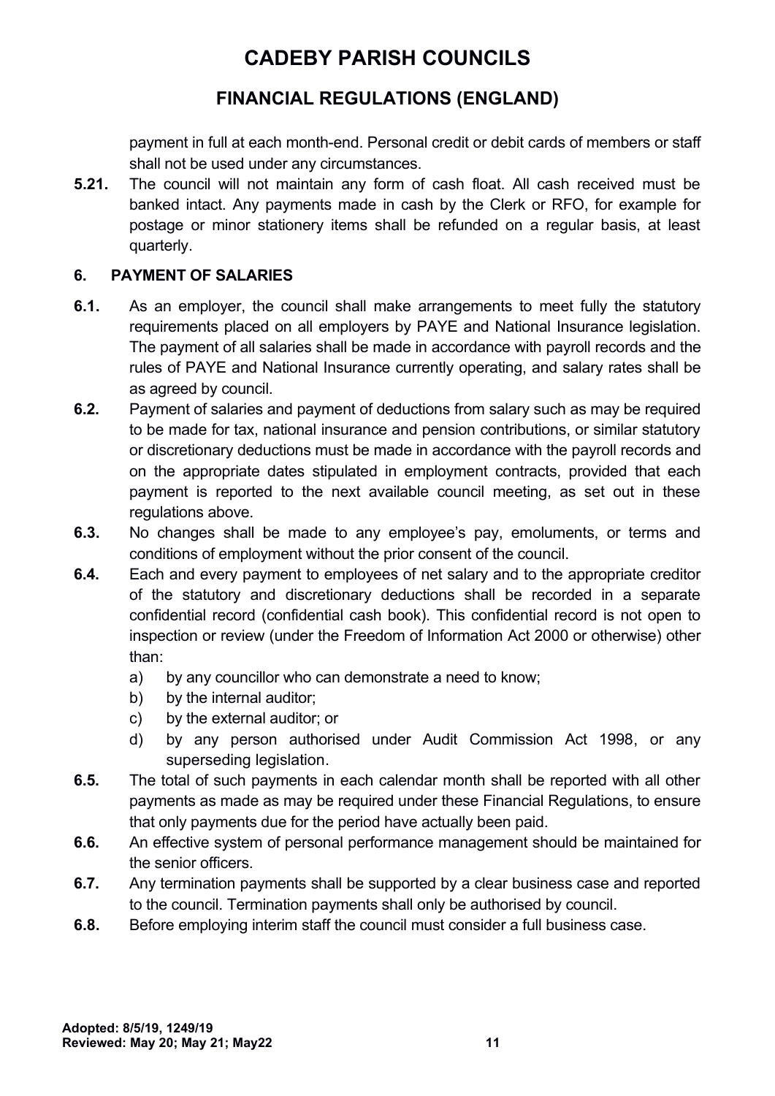### **FINANCIAL REGULATIONS (ENGLAND)**

payment in full at each month-end. Personal credit or debit cards of members or staff shall not be used under any circumstances.

**5.21.** The council will not maintain any form of cash float. All cash received must be banked intact. Any payments made in cash by the Clerk or RFO, for example for postage or minor stationery items shall be refunded on a regular basis, at least quarterly.

#### <span id="page-10-0"></span>**6. PAYMENT OF SALARIES**

- **6.1.** As an employer, the council shall make arrangements to meet fully the statutory requirements placed on all employers by PAYE and National Insurance legislation. The payment of all salaries shall be made in accordance with payroll records and the rules of PAYE and National Insurance currently operating, and salary rates shall be as agreed by council.
- **6.2.** Payment of salaries and payment of deductions from salary such as may be required to be made for tax, national insurance and pension contributions, or similar statutory or discretionary deductions must be made in accordance with the payroll records and on the appropriate dates stipulated in employment contracts, provided that each payment is reported to the next available council meeting, as set out in these regulations above.
- **6.3.** No changes shall be made to any employee's pay, emoluments, or terms and conditions of employment without the prior consent of the council.
- **6.4.** Each and every payment to employees of net salary and to the appropriate creditor of the statutory and discretionary deductions shall be recorded in a separate confidential record (confidential cash book). This confidential record is not open to inspection or review (under the Freedom of Information Act 2000 or otherwise) other than:
	- a) by any councillor who can demonstrate a need to know;
	- b) by the internal auditor;
	- c) by the external auditor; or
	- d) by any person authorised under Audit Commission Act 1998, or any superseding legislation.
- **6.5.** The total of such payments in each calendar month shall be reported with all other payments as made as may be required under these Financial Regulations, to ensure that only payments due for the period have actually been paid.
- **6.6.** An effective system of personal performance management should be maintained for the senior officers.
- **6.7.** Any termination payments shall be supported by a clear business case and reported to the council. Termination payments shall only be authorised by council.
- **6.8.** Before employing interim staff the council must consider a full business case.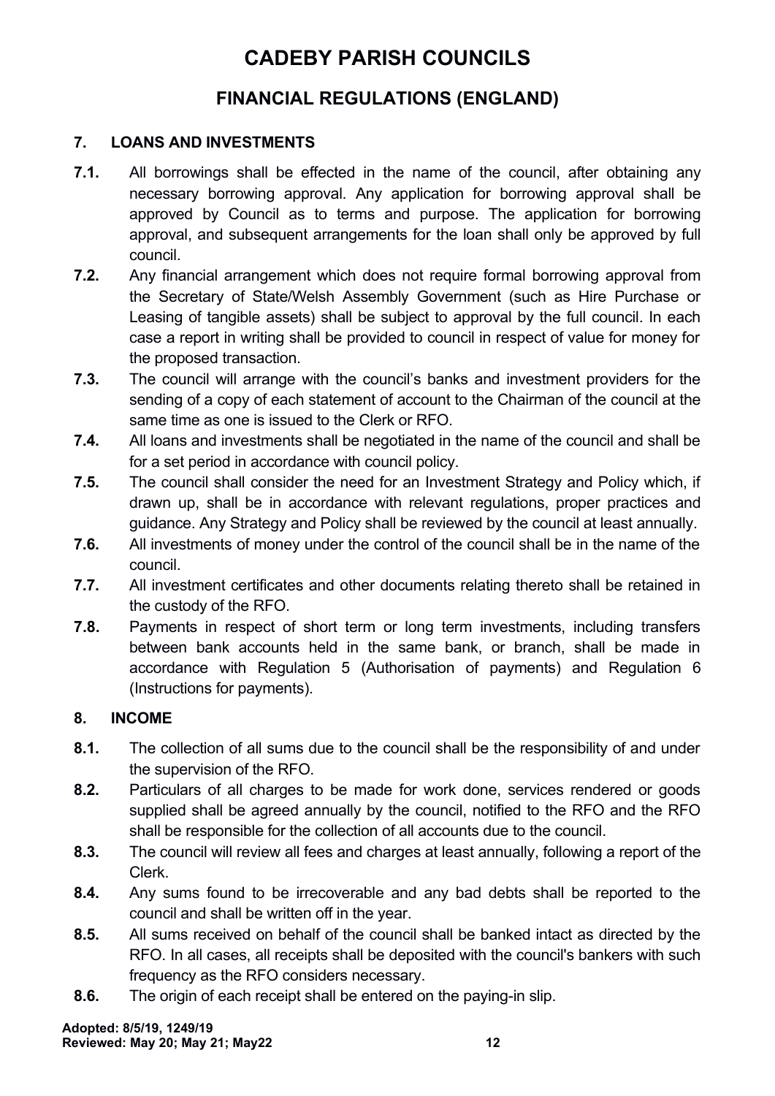### **FINANCIAL REGULATIONS (ENGLAND)**

#### <span id="page-11-1"></span>**7. LOANS AND INVESTMENTS**

- **7.1.** All borrowings shall be effected in the name of the council, after obtaining any necessary borrowing approval. Any application for borrowing approval shall be approved by Council as to terms and purpose. The application for borrowing approval, and subsequent arrangements for the loan shall only be approved by full council.
- **7.2.** Any financial arrangement which does not require formal borrowing approval from the Secretary of State/Welsh Assembly Government (such as Hire Purchase or Leasing of tangible assets) shall be subject to approval by the full council. In each case a report in writing shall be provided to council in respect of value for money for the proposed transaction.
- **7.3.** The council will arrange with the council's banks and investment providers for the sending of a copy of each statement of account to the Chairman of the council at the same time as one is issued to the Clerk or RFO.
- **7.4.** All loans and investments shall be negotiated in the name of the council and shall be for a set period in accordance with council policy.
- **7.5.** The council shall consider the need for an Investment Strategy and Policy which, if drawn up, shall be in accordance with relevant regulations, proper practices and guidance. Any Strategy and Policy shall be reviewed by the council at least annually.
- **7.6.** All investments of money under the control of the council shall be in the name of the council.
- **7.7.** All investment certificates and other documents relating thereto shall be retained in the custody of the RFO.
- **7.8.** Payments in respect of short term or long term investments, including transfers between bank accounts held in the same bank, or branch, shall be made in accordance with Regulation 5 (Authorisation of payments) and Regulation 6 (Instructions for payments).

#### <span id="page-11-0"></span>**8. INCOME**

- **8.1.** The collection of all sums due to the council shall be the responsibility of and under the supervision of the RFO.
- **8.2.** Particulars of all charges to be made for work done, services rendered or goods supplied shall be agreed annually by the council, notified to the RFO and the RFO shall be responsible for the collection of all accounts due to the council.
- **8.3.** The council will review all fees and charges at least annually, following a report of the Clerk.
- **8.4.** Any sums found to be irrecoverable and any bad debts shall be reported to the council and shall be written off in the year.
- **8.5.** All sums received on behalf of the council shall be banked intact as directed by the RFO. In all cases, all receipts shall be deposited with the council's bankers with such frequency as the RFO considers necessary.
- **8.6.** The origin of each receipt shall be entered on the paying-in slip.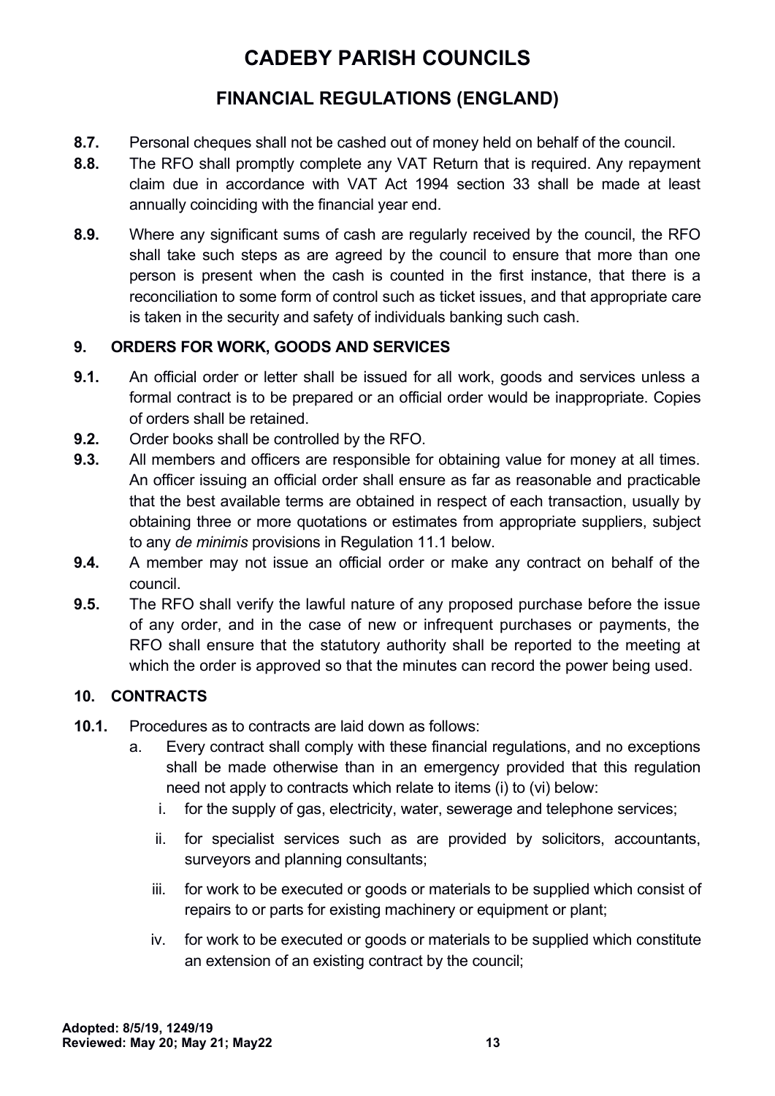## **FINANCIAL REGULATIONS (ENGLAND)**

- **8.7.** Personal cheques shall not be cashed out of money held on behalf of the council.
- **8.8.** The RFO shall promptly complete any VAT Return that is required. Any repayment claim due in accordance with VAT Act 1994 section 33 shall be made at least annually coinciding with the financial year end.
- **8.9.** Where any significant sums of cash are regularly received by the council, the RFO shall take such steps as are agreed by the council to ensure that more than one person is present when the cash is counted in the first instance, that there is a reconciliation to some form of control such as ticket issues, and that appropriate care is taken in the security and safety of individuals banking such cash.

#### <span id="page-12-1"></span>**9. ORDERS FOR WORK, GOODS AND SERVICES**

- **9.1.** An official order or letter shall be issued for all work, goods and services unless a formal contract is to be prepared or an official order would be inappropriate. Copies of orders shall be retained.
- **9.2.** Order books shall be controlled by the RFO.
- **9.3.** All members and officers are responsible for obtaining value for money at all times. An officer issuing an official order shall ensure as far as reasonable and practicable that the best available terms are obtained in respect of each transaction, usually by obtaining three or more quotations or estimates from appropriate suppliers, subject to any *de minimis* provisions in Regulation 11.1 below.
- **9.4.** A member may not issue an official order or make any contract on behalf of the council.
- **9.5.** The RFO shall verify the lawful nature of any proposed purchase before the issue of any order, and in the case of new or infrequent purchases or payments, the RFO shall ensure that the statutory authority shall be reported to the meeting at which the order is approved so that the minutes can record the power being used.

### <span id="page-12-0"></span>**10. CONTRACTS**

- **10.1.** Procedures as to contracts are laid down as follows:
	- a. Every contract shall comply with these financial regulations, and no exceptions shall be made otherwise than in an emergency provided that this regulation need not apply to contracts which relate to items (i) to (vi) below:
		- i. for the supply of gas, electricity, water, sewerage and telephone services;
		- ii. for specialist services such as are provided by solicitors, accountants, surveyors and planning consultants;
		- iii. for work to be executed or goods or materials to be supplied which consist of repairs to or parts for existing machinery or equipment or plant;
		- iv. for work to be executed or goods or materials to be supplied which constitute an extension of an existing contract by the council;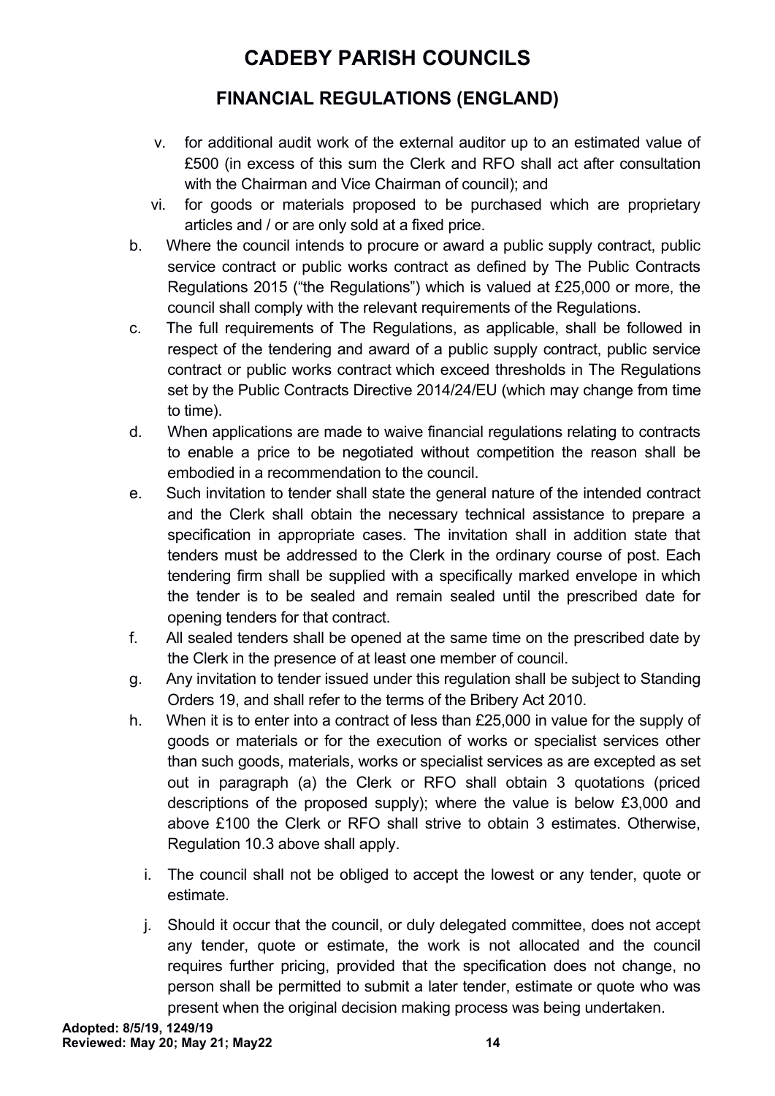- v. for additional audit work of the external auditor up to an estimated value of £500 (in excess of this sum the Clerk and RFO shall act after consultation with the Chairman and Vice Chairman of council); and
- vi. for goods or materials proposed to be purchased which are proprietary articles and / or are only sold at a fixed price.
- b. Where the council intends to procure or award a public supply contract, public service contract or public works contract as defined by The Public Contracts Regulations 2015 ("the Regulations") which is valued at £25,000 or more, the council shall comply with the relevant requirements of the Regulations.
- c. The full requirements of The Regulations, as applicable, shall be followed in respect of the tendering and award of a public supply contract, public service contract or public works contract which exceed thresholds in The Regulations set by the Public Contracts Directive 2014/24/EU (which may change from time to time).
- d. When applications are made to waive financial regulations relating to contracts to enable a price to be negotiated without competition the reason shall be embodied in a recommendation to the council.
- e. Such invitation to tender shall state the general nature of the intended contract and the Clerk shall obtain the necessary technical assistance to prepare a specification in appropriate cases. The invitation shall in addition state that tenders must be addressed to the Clerk in the ordinary course of post. Each tendering firm shall be supplied with a specifically marked envelope in which the tender is to be sealed and remain sealed until the prescribed date for opening tenders for that contract.
- f. All sealed tenders shall be opened at the same time on the prescribed date by the Clerk in the presence of at least one member of council.
- g. Any invitation to tender issued under this regulation shall be subject to Standing Orders 19, and shall refer to the terms of the Bribery Act 2010.
- h. When it is to enter into a contract of less than £25,000 in value for the supply of goods or materials or for the execution of works or specialist services other than such goods, materials, works or specialist services as are excepted as set out in paragraph (a) the Clerk or RFO shall obtain 3 quotations (priced descriptions of the proposed supply); where the value is below £3,000 and above £100 the Clerk or RFO shall strive to obtain 3 estimates. Otherwise, Regulation 10.3 above shall apply.
	- i. The council shall not be obliged to accept the lowest or any tender, quote or estimate.
	- j. Should it occur that the council, or duly delegated committee, does not accept any tender, quote or estimate, the work is not allocated and the council requires further pricing, provided that the specification does not change, no person shall be permitted to submit a later tender, estimate or quote who was present when the original decision making process was being undertaken.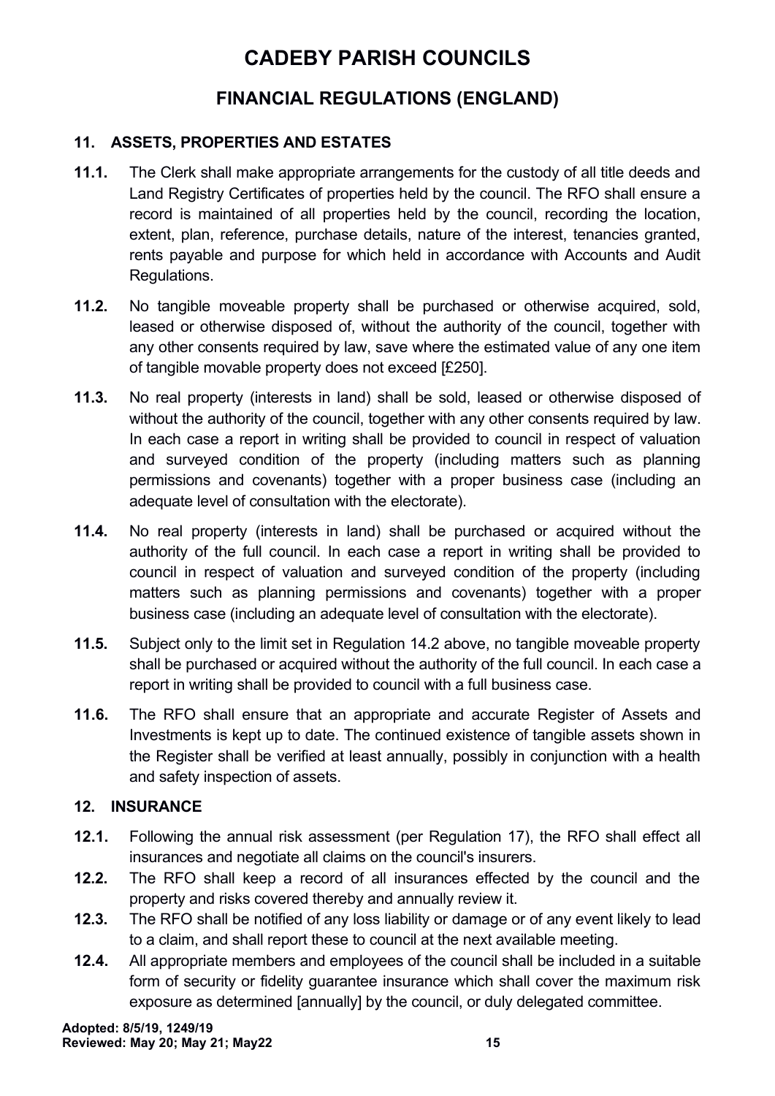### **FINANCIAL REGULATIONS (ENGLAND)**

#### <span id="page-14-1"></span>**11. ASSETS, PROPERTIES AND ESTATES**

- **11.1.** The Clerk shall make appropriate arrangements for the custody of all title deeds and Land Registry Certificates of properties held by the council. The RFO shall ensure a record is maintained of all properties held by the council, recording the location, extent, plan, reference, purchase details, nature of the interest, tenancies granted, rents payable and purpose for which held in accordance with Accounts and Audit Regulations.
- **11.2.** No tangible moveable property shall be purchased or otherwise acquired, sold, leased or otherwise disposed of, without the authority of the council, together with any other consents required by law, save where the estimated value of any one item of tangible movable property does not exceed [£250].
- **11.3.** No real property (interests in land) shall be sold, leased or otherwise disposed of without the authority of the council, together with any other consents required by law. In each case a report in writing shall be provided to council in respect of valuation and surveyed condition of the property (including matters such as planning permissions and covenants) together with a proper business case (including an adequate level of consultation with the electorate).
- **11.4.** No real property (interests in land) shall be purchased or acquired without the authority of the full council. In each case a report in writing shall be provided to council in respect of valuation and surveyed condition of the property (including matters such as planning permissions and covenants) together with a proper business case (including an adequate level of consultation with the electorate).
- **11.5.** Subject only to the limit set in Regulation 14.2 above, no tangible moveable property shall be purchased or acquired without the authority of the full council. In each case a report in writing shall be provided to council with a full business case.
- **11.6.** The RFO shall ensure that an appropriate and accurate Register of Assets and Investments is kept up to date. The continued existence of tangible assets shown in the Register shall be verified at least annually, possibly in conjunction with a health and safety inspection of assets.

#### <span id="page-14-0"></span>**12. INSURANCE**

- **12.1.** Following the annual risk assessment (per Regulation 17), the RFO shall effect all insurances and negotiate all claims on the council's insurers.
- **12.2.** The RFO shall keep a record of all insurances effected by the council and the property and risks covered thereby and annually review it.
- **12.3.** The RFO shall be notified of any loss liability or damage or of any event likely to lead to a claim, and shall report these to council at the next available meeting.
- **12.4.** All appropriate members and employees of the council shall be included in a suitable form of security or fidelity guarantee insurance which shall cover the maximum risk exposure as determined [annually] by the council, or duly delegated committee.

**Adopted: 8/5/19, 1249/19 Reviewed: May 20; May 21; May22 15**